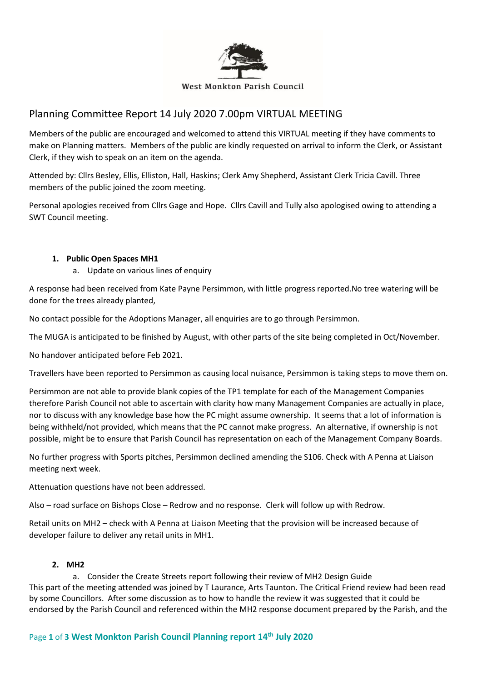

# Planning Committee Report 14 July 2020 7.00pm VIRTUAL MEETING

Members of the public are encouraged and welcomed to attend this VIRTUAL meeting if they have comments to make on Planning matters. Members of the public are kindly requested on arrival to inform the Clerk, or Assistant Clerk, if they wish to speak on an item on the agenda.

Attended by: Cllrs Besley, Ellis, Elliston, Hall, Haskins; Clerk Amy Shepherd, Assistant Clerk Tricia Cavill. Three members of the public joined the zoom meeting.

Personal apologies received from Cllrs Gage and Hope. Cllrs Cavill and Tully also apologised owing to attending a SWT Council meeting.

#### **1. Public Open Spaces MH1**

a. Update on various lines of enquiry

A response had been received from Kate Payne Persimmon, with little progress reported.No tree watering will be done for the trees already planted,

No contact possible for the Adoptions Manager, all enquiries are to go through Persimmon.

The MUGA is anticipated to be finished by August, with other parts of the site being completed in Oct/November.

No handover anticipated before Feb 2021.

Travellers have been reported to Persimmon as causing local nuisance, Persimmon is taking steps to move them on.

Persimmon are not able to provide blank copies of the TP1 template for each of the Management Companies therefore Parish Council not able to ascertain with clarity how many Management Companies are actually in place, nor to discuss with any knowledge base how the PC might assume ownership. It seems that a lot of information is being withheld/not provided, which means that the PC cannot make progress. An alternative, if ownership is not possible, might be to ensure that Parish Council has representation on each of the Management Company Boards.

No further progress with Sports pitches, Persimmon declined amending the S106. Check with A Penna at Liaison meeting next week.

Attenuation questions have not been addressed.

Also – road surface on Bishops Close – Redrow and no response. Clerk will follow up with Redrow.

Retail units on MH2 – check with A Penna at Liaison Meeting that the provision will be increased because of developer failure to deliver any retail units in MH1.

# **2. MH2**

a. Consider the Create Streets report following their review of MH2 Design Guide This part of the meeting attended was joined by T Laurance, Arts Taunton. The Critical Friend review had been read by some Councillors. After some discussion as to how to handle the review it was suggested that it could be endorsed by the Parish Council and referenced within the MH2 response document prepared by the Parish, and the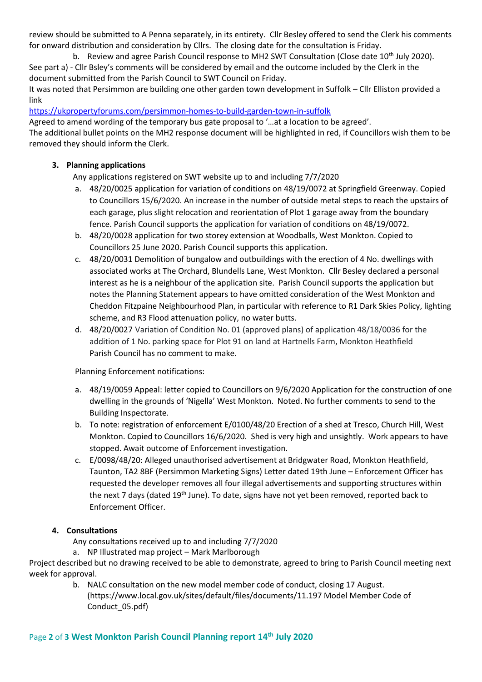review should be submitted to A Penna separately, in its entirety. Cllr Besley offered to send the Clerk his comments for onward distribution and consideration by Cllrs. The closing date for the consultation is Friday.

b. Review and agree Parish Council response to MH2 SWT Consultation (Close date  $10^{th}$  July 2020). See part a) - Cllr Bsley's comments will be considered by email and the outcome included by the Clerk in the document submitted from the Parish Council to SWT Council on Friday.

It was noted that Persimmon are building one other garden town development in Suffolk – Cllr Elliston provided a link

<https://ukpropertyforums.com/persimmon-homes-to-build-garden-town-in-suffolk>

Agreed to amend wording of the temporary bus gate proposal to '…at a location to be agreed'. The additional bullet points on the MH2 response document will be highlighted in red, if Councillors wish them to be removed they should inform the Clerk.

# **3. Planning applications**

Any applications registered on SWT website up to and including 7/7/2020

- a. 48/20/0025 application for variation of conditions on 48/19/0072 at Springfield Greenway. Copied to Councillors 15/6/2020. An increase in the number of outside metal steps to reach the upstairs of each garage, plus slight relocation and reorientation of Plot 1 garage away from the boundary fence. Parish Council supports the application for variation of conditions on 48/19/0072.
- b. 48/20/0028 application for two storey extension at Woodballs, West Monkton. Copied to Councillors 25 June 2020. Parish Council supports this application.
- c. 48/20/0031 Demolition of bungalow and outbuildings with the erection of 4 No. dwellings with associated works at The Orchard, Blundells Lane, West Monkton. Cllr Besley declared a personal interest as he is a neighbour of the application site. Parish Council supports the application but notes the Planning Statement appears to have omitted consideration of the West Monkton and Cheddon Fitzpaine Neighbourhood Plan, in particular with reference to R1 Dark Skies Policy, lighting scheme, and R3 Flood attenuation policy, no water butts.
- d. 48/20/0027 Variation of Condition No. 01 (approved plans) of application 48/18/0036 for the addition of 1 No. parking space for Plot 91 on land at Hartnells Farm, Monkton Heathfield Parish Council has no comment to make.

Planning Enforcement notifications:

- a. 48/19/0059 Appeal: letter copied to Councillors on 9/6/2020 Application for the construction of one dwelling in the grounds of 'Nigella' West Monkton. Noted. No further comments to send to the Building Inspectorate.
- b. To note: registration of enforcement E/0100/48/20 Erection of a shed at Tresco, Church Hill, West Monkton. Copied to Councillors 16/6/2020. Shed is very high and unsightly. Work appears to have stopped. Await outcome of Enforcement investigation.
- c. E/0098/48/20: Alleged unauthorised advertisement at Bridgwater Road, Monkton Heathfield, Taunton, TA2 8BF (Persimmon Marketing Signs) Letter dated 19th June – Enforcement Officer has requested the developer removes all four illegal advertisements and supporting structures within the next 7 days (dated 19<sup>th</sup> June). To date, signs have not yet been removed, reported back to Enforcement Officer.

# **4. Consultations**

Any consultations received up to and including 7/7/2020

a. NP Illustrated map project – Mark Marlborough

Project described but no drawing received to be able to demonstrate, agreed to bring to Parish Council meeting next week for approval.

> b. NALC consultation on the new model member code of conduct, closing 17 August. (https://www.local.gov.uk/sites/default/files/documents/11.197 Model Member Code of Conduct\_05.pdf)